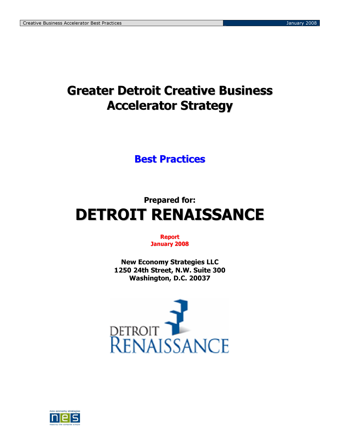# Greater Detroit Creative Business Accelerator Strategy

# Best Practices

# Prepared for: DETROIT RENAISSANCE

# Report January 2008

New Economy Strategies LLC 1250 24th Street, N.W. Suite 300 Washington, D.C. 20037



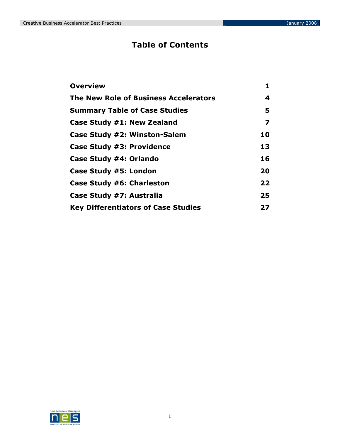# Table of Contents

| <b>Overview</b>                            | 1  |
|--------------------------------------------|----|
| The New Role of Business Accelerators      | 4  |
| <b>Summary Table of Case Studies</b>       | 5  |
| Case Study #1: New Zealand                 | 7  |
| Case Study #2: Winston-Salem               | 10 |
| <b>Case Study #3: Providence</b>           | 13 |
| Case Study #4: Orlando                     | 16 |
| Case Study #5: London                      | 20 |
| Case Study #6: Charleston                  | 22 |
| Case Study #7: Australia                   | 25 |
| <b>Key Differentiators of Case Studies</b> | 27 |

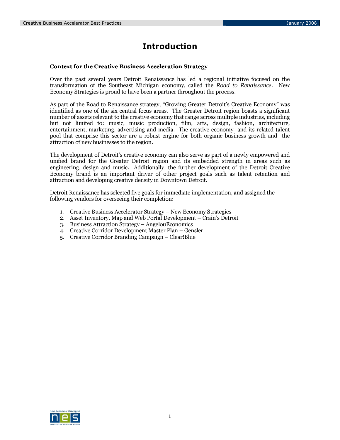# Introduction

### Context for the Creative Business Acceleration Strategy

Over the past several years Detroit Renaissance has led a regional initiative focused on the transformation of the Southeast Michigan economy, called the Road to Renaissance. New Economy Strategies is proud to have been a partner throughout the process.

As part of the Road to Renaissance strategy, "Growing Greater Detroit's Creative Economy" was identified as one of the six central focus areas. The Greater Detroit region boasts a significant number of assets relevant to the creative economy that range across multiple industries, including but not limited to: music, music production, film, arts, design, fashion, architecture, entertainment, marketing, advertising and media. The creative economy and its related talent pool that comprise this sector are a robust engine for both organic business growth and the attraction of new businesses to the region.

The development of Detroit's creative economy can also serve as part of a newly empowered and unified brand for the Greater Detroit region and its embedded strength in areas such as engineering, design and music. Additionally, the further development of the Detroit Creative Economy brand is an important driver of other project goals such as talent retention and attraction and developing creative density in Downtown Detroit.

Detroit Renaissance has selected five goals for immediate implementation, and assigned the following vendors for overseeing their completion:

- 1. Creative Business Accelerator Strategy New Economy Strategies
- 2. Asset Inventory, Map and Web Portal Development Crain's Detroit
- 3. Business Attraction Strategy AngelouEconomics
- 4. Creative Corridor Development Master Plan Gensler
- 5. Creative Corridor Branding Campaign Clear!Blue

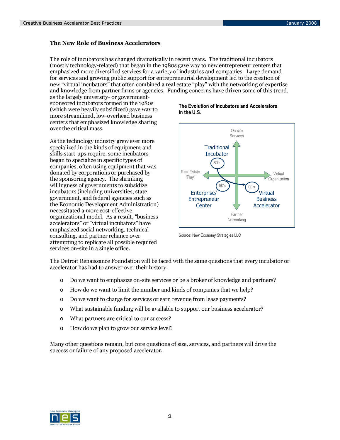# The New Role of Business Accelerators

The role of incubators has changed dramatically in recent years. The traditional incubators (mostly technology-related) that began in the 1980s gave way to new entrepreneur centers that emphasized more diversified services for a variety of industries and companies. Large demand for services and growing public support for entrepreneurial development led to the creation of new "virtual incubators" that often combined a real estate "play" with the networking of expertise and knowledge from partner firms or agencies. Funding concerns have driven some of this trend,

as the largely university- or governmentsponsored incubators formed in the 1980s (which were heavily subsidized) gave way to more streamlined, low-overhead business centers that emphasized knowledge sharing over the critical mass.

As the technology industry grew ever more specialized in the kinds of equipment and skills start-ups require, some incubators began to specialize in specific types of companies, often using equipment that was donated by corporations or purchased by the sponsoring agency. The shrinking willingness of governments to subsidize incubators (including universities, state government, and federal agencies such as the Economic Development Administration) necessitated a more cost-effective organizational model. As a result, "business accelerators" or "virtual incubators" have emphasized social networking, technical consulting, and partner reliance over attempting to replicate all possible required services on-site in a single office.

### The Evolution of Incubators and Accelerators in the U.S.



Source: New Economy Strategies LLC

The Detroit Renaissance Foundation will be faced with the same questions that every incubator or accelerator has had to answer over their history:

- o Do we want to emphasize on-site services or be a broker of knowledge and partners?
- o How do we want to limit the number and kinds of companies that we help?
- o Do we want to charge for services or earn revenue from lease payments?
- o What sustainable funding will be available to support our business accelerator?
- o What partners are critical to our success?
- o How do we plan to grow our service level?

Many other questions remain, but core questions of size, services, and partners will drive the success or failure of any proposed accelerator.

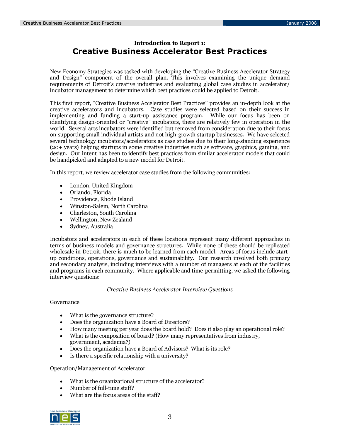# Introduction to Report 1: Creative Business Accelerator Best Practices

New Economy Strategies was tasked with developing the "Creative Business Accelerator Strategy and Design" component of the overall plan. This involves examining the unique demand requirements of Detroit's creative industries and evaluating global case studies in accelerator/ incubator management to determine which best practices could be applied to Detroit.

This first report, "Creative Business Accelerator Best Practices" provides an in-depth look at the creative accelerators and incubators. Case studies were selected based on their success in implementing and funding a start-up assistance program. While our focus has been on identifying design-oriented or "creative" incubators, there are relatively few in operation in the world. Several arts incubators were identified but removed from consideration due to their focus on supporting small individual artists and not high-growth startup businesses. We have selected several technology incubators/accelerators as case studies due to their long-standing experience (20+ years) helping startups in some creative industries such as software, graphics, gaming, and design. Our intent has been to identify best practices from similar accelerator models that could be handpicked and adapted to a new model for Detroit.

In this report, we review accelerator case studies from the following communities:

- London, United Kingdom
- Orlando, Florida
- Providence, Rhode Island
- Winston-Salem, North Carolina
- Charleston, South Carolina
- Wellington, New Zealand
- Sydney, Australia

Incubators and accelerators in each of these locations represent many different approaches in terms of business models and governance structures. While none of these should be replicated wholesale in Detroit, there is much to be learned from each model. Areas of focus include startup conditions, operations, governance and sustainability. Our research involved both primary and secondary analysis, including interviews with a number of managers at each of the facilities and programs in each community. Where applicable and time-permitting, we asked the following interview questions:

Creative Business Accelerator Interview Questions

### Governance

- What is the governance structure?
- Does the organization have a Board of Directors?
- How many meeting per year does the board hold? Does it also play an operational role?
- What is the composition of board? (How many representatives from industry, government, academia?)
- Does the organization have a Board of Advisors? What is its role?
- Is there a specific relationship with a university?

Operation/Management of Accelerator

- What is the organizational structure of the accelerator?
- Number of full-time staff?
- What are the focus areas of the staff?

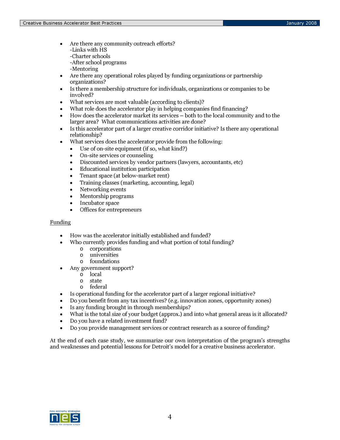- Are there any community outreach efforts? -Links with HS -Charter schools
	- -After school programs
	- -Mentoring
- Are there any operational roles played by funding organizations or partnership organizations?
- Is there a membership structure for individuals, organizations or companies to be involved?
- What services are most valuable (according to clients)?
- What role does the accelerator play in helping companies find financing?
- How does the accelerator market its services both to the local community and to the larger area? What communications activities are done?
- Is this accelerator part of a larger creative corridor initiative? Is there any operational relationship?
- What services does the accelerator provide from the following:
	- Use of on-site equipment (if so, what kind?)
	- On-site services or counseling
	- Discounted services by vendor partners (lawyers, accountants, etc)
	- Educational institution participation
	- Tenant space (at below-market rent)
	- Training classes (marketing, accounting, legal)
	- Networking events
	- Mentorship programs
	- Incubator space
	- Offices for entrepreneurs

# **Funding**

- How was the accelerator initially established and funded?
- Who currently provides funding and what portion of total funding?
	- o corporations
	- o universities
	- o foundations
- Any government support?
	- o local
	- o state
	- o federal
- Is operational funding for the accelerator part of a larger regional initiative?
- Do you benefit from any tax incentives? (e.g. innovation zones, opportunity zones)
- Is any funding brought in through memberships?
- What is the total size of your budget (approx.) and into what general areas is it allocated?
- Do you have a related investment fund?
- Do you provide management services or contract research as a source of funding?

At the end of each case study, we summarize our own interpretation of the program's strengths and weaknesses and potential lessons for Detroit's model for a creative business accelerator.

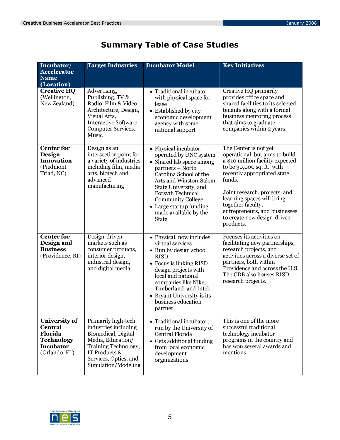| Incubator/<br><b>Accelerator</b><br><b>Name</b><br>(Location)                                               | <b>Target Industries</b>                                                                                                                                                         | <b>Incubator Model</b>                                                                                                                                                                                                                                                                            | <b>Key Initiatives</b>                                                                                                                                                                                                                                                                                                             |
|-------------------------------------------------------------------------------------------------------------|----------------------------------------------------------------------------------------------------------------------------------------------------------------------------------|---------------------------------------------------------------------------------------------------------------------------------------------------------------------------------------------------------------------------------------------------------------------------------------------------|------------------------------------------------------------------------------------------------------------------------------------------------------------------------------------------------------------------------------------------------------------------------------------------------------------------------------------|
| <b>Creative HQ</b><br>(Wellington,<br>New Zealand)                                                          | Advertising,<br>Publishing, TV &<br>Radio, Film & Video,<br>Architecture, Design,<br>Visual Arts,<br>Interactive Software,<br>Computer Services,<br>Music                        | • Traditional incubator<br>with physical space for<br>lease<br>• Established by city<br>economic development<br>agency with some<br>national support                                                                                                                                              | Creative HQ primarily<br>provides office space and<br>shared facilities to its selected<br>tenants along with a formal<br>business mentoring process<br>that aims to graduate<br>companies within 2 years.                                                                                                                         |
| Center for<br>Design<br>Innovation<br>(Piedmont<br>Triad, NC)                                               | Design as an<br>intersection point for<br>a variety of industries<br>including film, media<br>arts, biotech and<br>advanced<br>manufacturing                                     | • Physical incubator,<br>operated by UNC system<br>• Shared lab space among<br>partners - North<br>Carolina School of the<br>Arts and Winston-Salem<br>State University, and<br>Forsyth Technical<br><b>Community College</b><br>• Large startup funding<br>made available by the<br><b>State</b> | The Center is not yet<br>operational, but aims to build<br>a \$10 million facility expected<br>to be 30,000 sq. ft. with<br>recently appropriated state<br>funds.<br>Joint research, projects, and<br>learning spaces will bring<br>together faculty,<br>entrepreneurs, and businesses<br>to create new design-driven<br>products. |
| <b>Center for</b><br>Design and<br><b>Business</b><br>(Providence, RI)                                      | Design-driven<br>markets such as<br>consumer products,<br>interior design,<br>industrial design,<br>and digital media                                                            | • Physical, now includes<br>virtual services<br>• Run by design school<br><b>RISD</b><br>• Focus is linking RISD<br>design projects with<br>local and national<br>companies like Nike,<br>Timberland, and Intel.<br>• Bryant University is its<br>business education<br>partner                   | Focuses its activities on<br>facilitating new partnerships,<br>research projects, and<br>activities across a diverse set of<br>partners, both within<br>Providence and across the U.S.<br>The CDB also houses RISD<br>research projects.                                                                                           |
| <b>University of</b><br><b>Central</b><br><b>Florida</b><br><b>Technology</b><br>Incubator<br>(Orlando, FL) | Primarily high-tech<br>industries including<br>Biomedical, Digital<br>Media, Education/<br>Training Technology,<br>IT Products &<br>Services, Optics, and<br>Simulation/Modeling | • Traditional incubator,<br>run by the University of<br>Central Florida<br>• Gets additional funding<br>from local economic<br>development<br>organizations                                                                                                                                       | This is one of the more<br>successful traditional<br>technology incubator<br>programs in the country and<br>has won several awards and<br>mentions.                                                                                                                                                                                |

# Summary Table of Case Studies

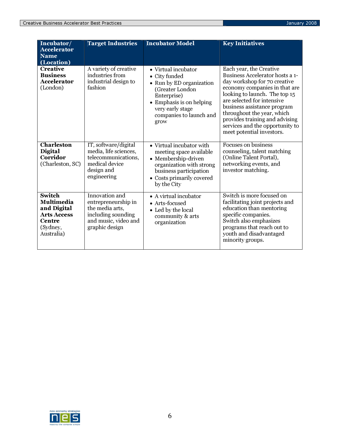| Incubator/<br><b>Accelerator</b><br><b>Name</b><br>(Location)                                               | <b>Target Industries</b>                                                                                                 | <b>Incubator Model</b>                                                                                                                                                                | <b>Key Initiatives</b>                                                                                                                                                                                                                                                                                                                                    |
|-------------------------------------------------------------------------------------------------------------|--------------------------------------------------------------------------------------------------------------------------|---------------------------------------------------------------------------------------------------------------------------------------------------------------------------------------|-----------------------------------------------------------------------------------------------------------------------------------------------------------------------------------------------------------------------------------------------------------------------------------------------------------------------------------------------------------|
| <b>Creative</b><br><b>Business</b><br><b>Accelerator</b><br>(London)                                        | A variety of creative<br>industries from<br>industrial design to<br>fashion                                              | • Virtual incubator<br>• City funded<br>• Run by ED organization<br>(Greater London<br>Enterprise)<br>• Emphasis is on helping<br>very early stage<br>companies to launch and<br>grow | Each year, the Creative<br>Business Accelerator hosts a 1-<br>day workshop for 70 creative<br>economy companies in that are<br>looking to launch. The top 15<br>are selected for intensive<br>business assistance program<br>throughout the year, which<br>provides training and advising<br>services and the opportunity to<br>meet potential investors. |
| <b>Charleston</b><br>Digital<br>Corridor<br>(Charleston, SC)                                                | IT, software/digital<br>media, life sciences,<br>telecommunications,<br>medical device<br>design and<br>engineering      | • Virtual incubator with<br>meeting space available<br>• Membership-driven<br>organization with strong<br>business participation<br>• Costs primarily covered<br>by the City          | Focuses on business<br>counseling, talent matching<br>(Online Talent Portal),<br>networking events, and<br>investor matching.                                                                                                                                                                                                                             |
| <b>Switch</b><br>Multimedia<br>and Digital<br><b>Arts Access</b><br><b>Centre</b><br>(Sydney,<br>Australia) | Innovation and<br>entrepreneurship in<br>the media arts,<br>including sounding<br>and music, video and<br>graphic design | • A virtual incubator<br>• Arts-focused<br>• Led by the local<br>community & arts<br>organization                                                                                     | Switch is more focused on<br>facilitating joint projects and<br>education than mentoring<br>specific companies.<br>Switch also emphasizes<br>programs that reach out to<br>youth and disadvantaged<br>minority groups.                                                                                                                                    |

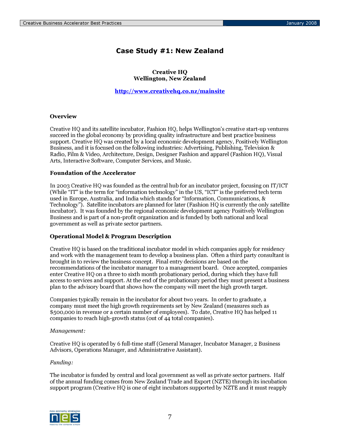# Case Study #1: New Zealand

### Creative HQ Wellington, New Zealand

http://www.creativehq.co.nz/mainsite

# **Overview**

Creative HQ and its satellite incubator, Fashion HQ, helps Wellington's creative start-up ventures succeed in the global economy by providing quality infrastructure and best practice business support. Creative HQ was created by a local economic development agency, Positively Wellington Business, and it is focused on the following industries: Advertising, Publishing, Television & Radio, Film & Video, Architecture, Design, Designer Fashion and apparel (Fashion HQ), Visual Arts, Interactive Software, Computer Services, and Music.

# Foundation of the Accelerator

In 2003 Creative HQ was founded as the central hub for an incubator project, focusing on IT/ICT (While "IT" is the term for "information technology" in the US, "ICT" is the preferred tech term used in Europe, Australia, and India which stands for "Information, Communications, & Technology"). Satellite incubators are planned for later (Fashion HQ is currently the only satellite incubator). It was founded by the regional economic development agency Positively Wellington Business and is part of a non-profit organization and is funded by both national and local government as well as private sector partners.

### Operational Model & Program Description

Creative HQ is based on the traditional incubator model in which companies apply for residency and work with the management team to develop a business plan. Often a third party consultant is brought in to review the business concept. Final entry decisions are based on the recommendations of the incubator manager to a management board. Once accepted, companies enter Creative HQ on a three to sixth month probationary period, during which they have full access to services and support. At the end of the probationary period they must present a business plan to the advisory board that shows how the company will meet the high growth target.

Companies typically remain in the incubator for about two years. In order to graduate, a company must meet the high growth requirements set by New Zealand (measures such as \$500,000 in revenue or a certain number of employees). To date, Creative HQ has helped 11 companies to reach high-growth status (out of 44 total companies).

### Management:

Creative HQ is operated by 6 full-time staff (General Manager, Incubator Manager, 2 Business Advisors, Operations Manager, and Administrative Assistant).

### Funding:

The incubator is funded by central and local government as well as private sector partners. Half of the annual funding comes from New Zealand Trade and Export (NZTE) through its incubation support program (Creative HQ is one of eight incubators supported by NZTE and it must reapply

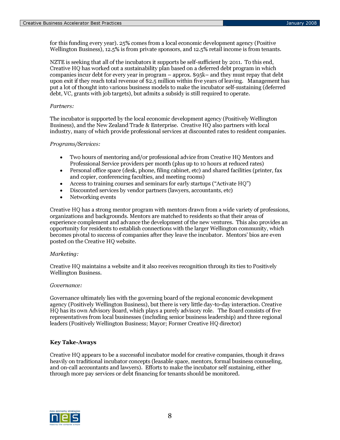for this funding every year). 25% comes from a local economic development agency (Positive Wellington Business), 12.5% is from private sponsors, and 12.5% retail income is from tenants.

NZTE is seeking that all of the incubators it supports be self-sufficient by 2011. To this end, Creative HQ has worked out a sustainability plan based on a deferred debt program in which companies incur debt for every year in program – approx. \$95k– and they must repay that debt upon exit if they reach total revenue of \$2.5 million within five years of leaving. Management has put a lot of thought into various business models to make the incubator self-sustaining (deferred debt, VC, grants with job targets), but admits a subsidy is still required to operate.

### Partners:

The incubator is supported by the local economic development agency (Positively Wellington Business), and the New Zealand Trade & Enterprise. Creative HQ also partners with local industry, many of which provide professional services at discounted rates to resident companies.

### Programs/Services:

- Two hours of mentoring and/or professional advice from Creative HQ Mentors and Professional Service providers per month (plus up to 10 hours at reduced rates)
- Personal office space (desk, phone, filing cabinet, etc) and shared facilities (printer, fax and copier, conferencing faculties, and meeting rooms)
- Access to training courses and seminars for early startups ("Activate HQ")
- Discounted services by vendor partners (lawyers, accountants, etc)
- Networking events

Creative HQ has a strong mentor program with mentors drawn from a wide variety of professions, organizations and backgrounds. Mentors are matched to residents so that their areas of experience complement and advance the development of the new ventures. This also provides an opportunity for residents to establish connections with the larger Wellington community, which becomes pivotal to success of companies after they leave the incubator. Mentors' bios are even posted on the Creative HQ website.

### Marketing:

Creative HQ maintains a website and it also receives recognition through its ties to Positively Wellington Business.

### Governance:

Governance ultimately lies with the governing board of the regional economic development agency (Positively Wellington Business), but there is very little day-to-day interaction. Creative HQ has its own Advisory Board, which plays a purely advisory role. The Board consists of five representatives from local businesses (including senior business leadership) and three regional leaders (Positively Wellington Business; Mayor; Former Creative HQ director)

## Key Take-Aways

Creative HQ appears to be a successful incubator model for creative companies, though it draws heavily on traditional incubator concepts (leasable space, mentors, formal business counseling, and on-call accountants and lawyers). Efforts to make the incubator self sustaining, either through more pay services or debt financing for tenants should be monitored.

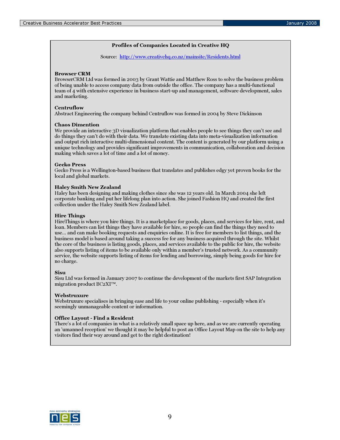### Profiles of Companies Located in Creative HQ

Source: http://www.creativehq.co.nz/mainsite/Residents.html

### Browser CRM

BrowserCRM Ltd was formed in 2003 by Grant Wattie and Matthew Ross to solve the business problem of being unable to access company data from outside the office. The company has a multi-functional team of 4 with extensive experience in business start-up and management, software development, sales and marketing.

#### **Centruflow**

Abstract Engineering the company behind Centruflow was formed in 2004 by Steve Dickinson

### Chaos Dimention

We provide an interactive 3D visualization platform that enables people to see things they can't see and do things they can't do with their data. We translate existing data into meta-visualization information and output rich interactive multi-dimensional content. The content is generated by our platform using a unique technology and provides significant improvements in communication, collaboration and decision making which saves a lot of time and a lot of money.

#### Gecko Press

Gecko Press is a Wellington-based business that translates and publishes edgy yet proven books for the local and global markets.

#### Haley Smith New Zealand

Haley has been designing and making clothes since she was 12 years old. In March 2004 she left corporate banking and put her lifelong plan into action. She joined Fashion HQ and created the first collection under the Haley Smith New Zealand label.

### Hire Things

HireThings is where you hire things. It is a marketplace for goods, places, and services for hire, rent, and loan. Members can list things they have available for hire, so people can find the things they need to use… and can make booking requests and enquiries online. It is free for members to list things, and the business model is based around taking a success fee for any business acquired through the site. Whilst the core of the business is listing goods, places, and services available to the public for hire, the website also supports listing of items to be available only within a member's trusted network. As a community service, the website supports listing of items for lending and borrowing, simply being goods for hire for no charge.

#### Sisu

Sisu Ltd was formed in January 2007 to continue the development of the markets first SAP Integration migration product BC2XI™.

#### Webstruxure

Webstruxure specialises in bringing ease and life to your online publishing - especially when it's seemingly unmanageable content or information.

### Office Layout - Find a Resident

There's a lot of companies in what is a relatively small space up here, and as we are currently operating an 'umanned reception' we thought it may be helpful to post an Office Layout Map on the site to help any visitors find their way around and get to the right destination!

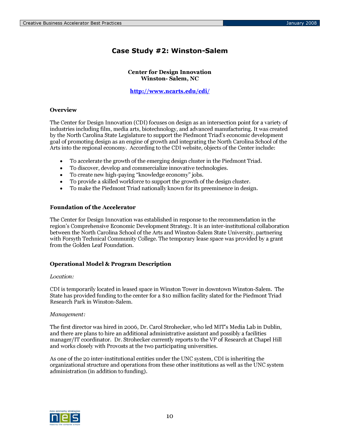# Case Study #2: Winston-Salem

Center for Design Innovation Winston- Salem, NC

http://www.ncarts.edu/cdi/

## **Overview**

The Center for Design Innovation (CDI) focuses on design as an intersection point for a variety of industries including film, media arts, biotechnology, and advanced manufacturing. It was created by the North Carolina State Legislature to support the Piedmont Triad's economic development goal of promoting design as an engine of growth and integrating the North Carolina School of the Arts into the regional economy. According to the CDI website, objects of the Center include:

- To accelerate the growth of the emerging design cluster in the Piedmont Triad.
- To discover, develop and commercialize innovative technologies.
- To create new high-paying "knowledge economy" jobs.
- To provide a skilled workforce to support the growth of the design cluster.
- To make the Piedmont Triad nationally known for its preeminence in design.

### Foundation of the Accelerator

The Center for Design Innovation was established in response to the recommendation in the region's Comprehensive Economic Development Strategy. It is an inter-institutional collaboration between the North Carolina School of the Arts and Winston-Salem State University, partnering with Forsyth Technical Community College. The temporary lease space was provided by a grant from the Golden Leaf Foundation.

### Operational Model & Program Description

### Location:

CDI is temporarily located in leased space in Winston Tower in downtown Winston-Salem. The State has provided funding to the center for a \$10 million facility slated for the Piedmont Triad Research Park in Winston-Salem.

### Management:

The first director was hired in 2006, Dr. Carol Strohecker, who led MIT's Media Lab in Dublin, and there are plans to hire an additional administrative assistant and possibly a facilities manager/IT coordinator. Dr. Strohecker currently reports to the VP of Research at Chapel Hill and works closely with Provosts at the two participating universities.

As one of the 20 inter-institutional entities under the UNC system, CDI is inheriting the organizational structure and operations from these other institutions as well as the UNC system administration (in addition to funding).

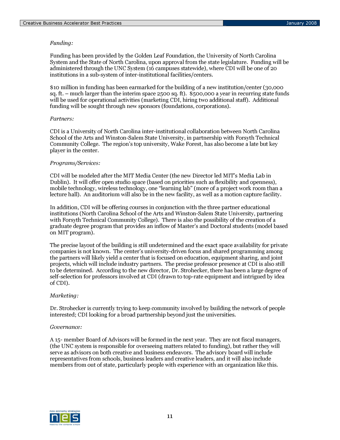# Funding:

Funding has been provided by the Golden Leaf Foundation, the University of North Carolina System and the State of North Carolina, upon approval from the state legislature. Funding will be administered through the UNC System (16 campuses statewide), where CDI will be one of 20 institutions in a sub-system of inter-institutional facilities/centers.

\$10 million in funding has been earmarked for the building of a new institution/center (30,000 sq. ft. – much larger than the interim space 2500 sq. ft). \$500,000 a year in recurring state funds will be used for operational activities (marketing CDI, hiring two additional staff). Additional funding will be sought through new sponsors (foundations, corporations).

### Partners:

CDI is a University of North Carolina inter-institutional collaboration between North Carolina School of the Arts and Winston-Salem State University, in partnership with Forsyth Technical Community College. The region's top university, Wake Forest, has also become a late but key player in the center.

### Programs/Services:

CDI will be modeled after the MIT Media Center (the new Director led MIT's Media Lab in Dublin). It will offer open studio space (based on priorities such as flexibility and openness), mobile technology, wireless technology, one "learning lab" (more of a project work room than a lecture hall). An auditorium will also be in the new facility, as well as a motion capture facility.

In addition, CDI will be offering courses in conjunction with the three partner educational institutions (North Carolina School of the Arts and Winston-Salem State University, partnering with Forsyth Technical Community College). There is also the possibility of the creation of a graduate degree program that provides an inflow of Master's and Doctoral students (model based on MIT program).

The precise layout of the building is still undetermined and the exact space availability for private companies is not known. The center's university-driven focus and shared programming among the partners will likely yield a center that is focused on education, equipment sharing, and joint projects, which will include industry partners. The precise professor presence at CDI is also still to be determined. According to the new director, Dr. Strohecker, there has been a large degree of self-selection for professors involved at CDI (drawn to top-rate equipment and intrigued by idea of CDI).

### Marketing:

Dr. Strohecker is currently trying to keep community involved by building the network of people interested; CDI looking for a broad partnership beyond just the universities.

### Governance:

A 15- member Board of Advisors will be formed in the next year. They are not fiscal managers, (the UNC system is responsible for overseeing matters related to funding), but rather they will serve as advisors on both creative and business endeavors. The advisory board will include representatives from schools, business leaders and creative leaders, and it will also include members from out of state, particularly people with experience with an organization like this.

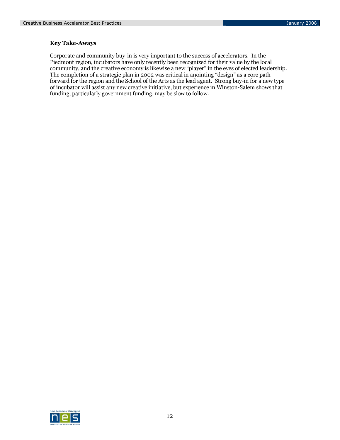# Key Take-Aways

Corporate and community buy-in is very important to the success of accelerators. In the Piedmont region, incubators have only recently been recognized for their value by the local community, and the creative economy is likewise a new "player" in the eyes of elected leadership. The completion of a strategic plan in 2002 was critical in anointing "design" as a core path forward for the region and the School of the Arts as the lead agent. Strong buy-in for a new type of incubator will assist any new creative initiative, but experience in Winston-Salem shows that funding, particularly government funding, may be slow to follow.

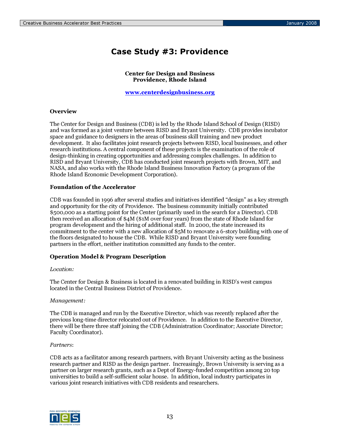# Case Study #3: Providence

Center for Design and Business Providence, Rhode Island

www.centerdesignbusiness.org

### **Overview**

The Center for Design and Business (CDB) is led by the Rhode Island School of Design (RISD) and was formed as a joint venture between RISD and Bryant University. CDB provides incubator space and guidance to designers in the areas of business skill training and new product development. It also facilitates joint research projects between RISD, local businesses, and other research institutions. A central component of these projects is the examination of the role of design-thinking in creating opportunities and addressing complex challenges. In addition to RISD and Bryant University, CDB has conducted joint research projects with Brown, MIT, and NASA, and also works with the Rhode Island Business Innovation Factory (a program of the Rhode Island Economic Development Corporation).

### Foundation of the Accelerator

CDB was founded in 1996 after several studies and initiatives identified "design" as a key strength and opportunity for the city of Providence. The business community initially contributed \$500,000 as a starting point for the Center (primarily used in the search for a Director). CDB then received an allocation of \$4M (\$1M over four years) from the state of Rhode Island for program development and the hiring of additional staff. In 2000, the state increased its commitment to the center with a new allocation of \$5M to renovate a 6-story building with one of the floors designated to house the CDB. While RISD and Bryant University were founding partners in the effort, neither institution committed any funds to the center.

### Operation Model & Program Description

### Location:

The Center for Design & Business is located in a renovated building in RISD's west campus located in the Central Business District of Providence.

### Management:

The CDB is managed and run by the Executive Director, which was recently replaced after the previous long-time director relocated out of Providence. In addition to the Executive Director, there will be there three staff joining the CDB (Administration Coordinator; Associate Director; Faculty Coordinator).

### Partners:

CDB acts as a facilitator among research partners, with Bryant University acting as the business research partner and RISD as the design partner. Increasingly, Brown University is serving as a partner on larger research grants, such as a Dept of Energy-funded competition among 20 top universities to build a self-sufficient solar house. In addition, local industry participates in various joint research initiatives with CDB residents and researchers.

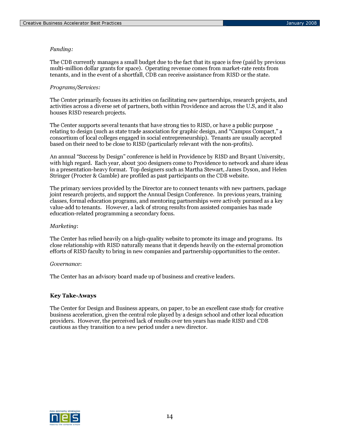# Funding:

The CDB currently manages a small budget due to the fact that its space is free (paid by previous multi-million dollar grants for space). Operating revenue comes from market-rate rents from tenants, and in the event of a shortfall, CDB can receive assistance from RISD or the state.

### Programs/Services:

The Center primarily focuses its activities on facilitating new partnerships, research projects, and activities across a diverse set of partners, both within Providence and across the U.S, and it also houses RISD research projects.

The Center supports several tenants that have strong ties to RISD, or have a public purpose relating to design (such as state trade association for graphic design, and "Campus Compact," a consortium of local colleges engaged in social entrepreneurship). Tenants are usually accepted based on their need to be close to RISD (particularly relevant with the non-profits).

An annual "Success by Design" conference is held in Providence by RISD and Bryant University, with high regard. Each year, about 300 designers come to Providence to network and share ideas in a presentation-heavy format. Top designers such as Martha Stewart, James Dyson, and Helen Stringer (Procter & Gamble) are profiled as past participants on the CDB website.

The primary services provided by the Director are to connect tenants with new partners, package joint research projects, and support the Annual Design Conference. In previous years, training classes, formal education programs, and mentoring partnerships were actively pursued as a key value-add to tenants. However, a lack of strong results from assisted companies has made education-related programming a secondary focus.

### Marketing:

The Center has relied heavily on a high-quality website to promote its image and programs. Its close relationship with RISD naturally means that it depends heavily on the external promotion efforts of RISD faculty to bring in new companies and partnership opportunities to the center.

### Governance:

The Center has an advisory board made up of business and creative leaders.

# Key Take-Aways

The Center for Design and Business appears, on paper, to be an excellent case study for creative business acceleration, given the central role played by a design school and other local education providers. However, the perceived lack of results over ten years has made RISD and CDB cautious as they transition to a new period under a new director.

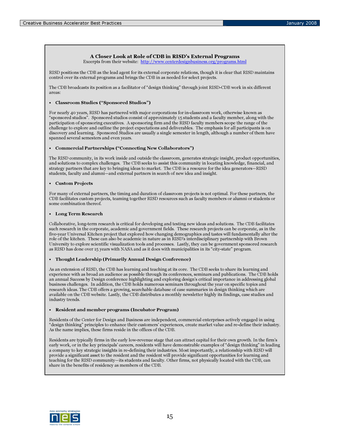#### A Closer Look at Role of CDB in RISD's External Programs

Excerpts from their website: http://www.centerdesignbusiness.org/programs.html

RISD positions the CDB as the lead agent for its external corporate relations, though it is clear that RISD maintains control over its external programs and brings the CDB in as needed for select projects.

The CDB broadcasts its position as a facilitator of "design thinking" through joint RISD-CDB work in six different areas:

#### • Classroom Studies ("Sponsored Studios")

For nearly 40 years, RISD has partnered with major corporations for in-classroom work, otherwise known as "sponsored studios". Sponsored studios consist of approximately 15 students and a faculty member, along with the participation of sponsoring executives. A sponsoring firm and the RISD faculty members scope the range of the challenge to explore and outline the project expectations and deliverables. The emphasis for all participants is on discovery and learning. Sponsored Studios are usually a single semester in length, although a number of them have spanned several semesters and even years.

#### • Commercial Partnerships ("Connecting New Collaborators")

The RISD community, in its work inside and outside the classroom, generates strategic insight, product opportunities, and solutions to complex challenges. The CDB seeks to assist this community in locating knowledge, financial, and strategy partners that are key to bringing ideas to market. The CDB is a resource for the idea generators—RISD students, faculty and alumni—and external partners in search of new idea and insight.

#### • Custom Projects

For many of external partners, the timing and duration of classroom projects is not optimal. For these partners, the CDB facilitates custom projects, teaming together RISD resources such as faculty members or alumni or students or some combination thereof.

#### • Long Term Research

Collaborative, long-term research is critical for developing and testing new ideas and solutions. The CDB facilitates such research in the corporate, academic and government fields. These research projects can be corporate, as in the five-year Universal Kitchen project that explored how changing demographics and tastes will fundamentally alter the role of the kitchen. These can also be academic in nature as in RISD's interdisciplinary partnership with Brown University to explore scientific visualization tools and processes. Lastly, they can be government sponsored research as RISD has done over 15 years with NASA and as it does with municipalities in its "city-state" program.

### • Thought Leadership (Primarily Annual Design Conference)

As an extension of RISD, the CDB has learning and teaching at its core. The CDB seeks to share its learning and experience with as broad an audience as possible through its conferences, seminars and publications. The CDB holds an annual Success by Design conference highlighting and exploring design's critical importance in addressing global business challenges. In addition, the CDB holds numerous seminars throughout the year on specific topics and research ideas. The CDB offers a growing, searchable database of case summaries in design thinking which are available on the CDB website. Lastly, the CDB distributes a monthly newsletter highly its findings, case studies and industry trends.

#### • Resident and member programs (Incubator Program)

Residents of the Center for Design and Business are independent, commercial enterprises actively engaged in using "design thinking" principles to enhance their customers' experiences, create market value and re-define their industry. As the name implies, these firms reside in the offices of the CDB.

Residents are typically firms in the early low-revenue stage that can attract capital for their own growth. In the firm's early work, or in the key principals' careers, residents will have demonstrable examples of "design thinking" in leading a company to key strategic insights in re-defining their industries. Most importantly, a relationship with RISD will provide a significant asset to the resident and the resident will provide significant opportunities for learning and teaching for the RISD community—its students and faculty. Other firms, not physically located with the CDB, can share in the benefits of residency as members of the CDB.

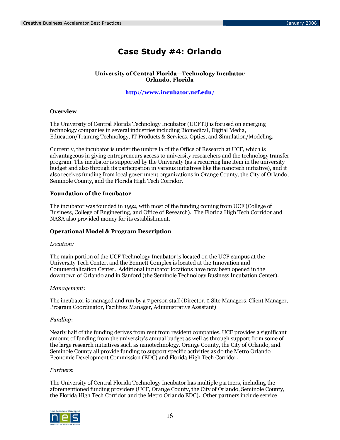# Case Study #4: Orlando

## University of Central Florida—Technology Incubator Orlando, Florida

http://www.incubator.ucf.edu/

## **Overview**

The University of Central Florida Technology Incubator (UCFTI) is focused on emerging technology companies in several industries including Biomedical, Digital Media, Education/Training Technology, IT Products & Services, Optics, and Simulation/Modeling.

Currently, the incubator is under the umbrella of the Office of Research at UCF, which is advantageous in giving entrepreneurs access to university researchers and the technology transfer program. The incubator is supported by the University (as a recurring line item in the university budget and also through its participation in various initiatives like the nanotech initiative), and it also receives funding from local government organizations in Orange County, the City of Orlando, Seminole County, and the Florida High Tech Corridor.

# Foundation of the Incubator

The incubator was founded in 1992, with most of the funding coming from UCF (College of Business, College of Engineering, and Office of Research). The Florida High Tech Corridor and NASA also provided money for its establishment.

### Operational Model & Program Description

### Location:

The main portion of the UCF Technology Incubator is located on the UCF campus at the University Tech Center, and the Bennett Complex is located at the Innovation and Commercialization Center. Additional incubator locations have now been opened in the downtown of Orlando and in Sanford (the Seminole Technology Business Incubation Center).

### Management:

The incubator is managed and run by a 7 person staff (Director, 2 Site Managers, Client Manager, Program Coordinator, Facilities Manager, Administrative Assistant)

### Funding:

Nearly half of the funding derives from rent from resident companies. UCF provides a significant amount of funding from the university's annual budget as well as through support from some of the large research initiatives such as nanotechnology. Orange County, the City of Orlando, and Seminole County all provide funding to support specific activities as do the Metro Orlando Economic Development Commission (EDC) and Florida High Tech Corridor.

### Partners:

The University of Central Florida Technology Incubator has multiple partners, including the aforementioned funding providers (UCF, Orange County, the City of Orlando, Seminole County, the Florida High Tech Corridor and the Metro Orlando EDC). Other partners include service

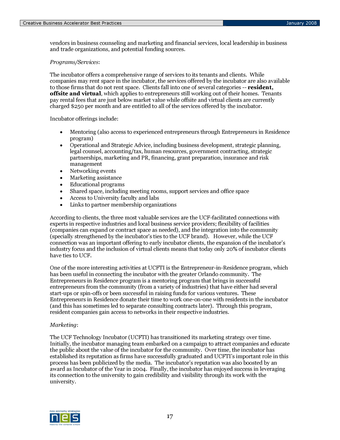vendors in business counseling and marketing and financial services, local leadership in business and trade organizations, and potential funding sources.

### Programs/Services:

The incubator offers a comprehensive range of services to its tenants and clients. While companies may rent space in the incubator, the services offered by the incubator are also available to those firms that do not rent space. Clients fall into one of several categories -- resident, **offsite and virtual**, which applies to entrepreneurs still working out of their homes. Tenants pay rental fees that are just below market value while offsite and virtual clients are currently charged \$250 per month and are entitled to all of the services offered by the incubator.

Incubator offerings include:

- Mentoring (also access to experienced entrepreneurs through Entrepreneurs in Residence program)
- Operational and Strategic Advice, including business development, strategic planning, legal counsel, accounting/tax, human resources, government contracting, strategic partnerships, marketing and PR, financing, grant preparation, insurance and risk management
- Networking events
- Marketing assistance
- Educational programs
- Shared space, including meeting rooms, support services and office space
- Access to University faculty and labs
- Links to partner membership organizations

According to clients, the three most valuable services are the UCF-facilitated connections with experts in respective industries and local business service providers; flexibility of facilities (companies can expand or contract space as needed), and the integration into the community (specially strengthened by the incubator's ties to the UCF brand). However, while the UCF connection was an important offering to early incubator clients, the expansion of the incubator's industry focus and the inclusion of virtual clients means that today only 20% of incubator clients have ties to UCF.

One of the more interesting activities at UCFTI is the Entrepreneur-in-Residence program, which has been useful in connecting the incubator with the greater Orlando community. The Entrepreneurs in Residence program is a mentoring program that brings in successful entrepreneurs from the community (from a variety of industries) that have either had several start-ups or spin-offs or been successful in raising funds for various ventures. These Entrepreneurs in Residence donate their time to work one-on-one with residents in the incubator (and this has sometimes led to separate consulting contracts later). Through this program, resident companies gain access to networks in their respective industries.

### Marketing:

The UCF Technology Incubator (UCFTI) has transitioned its marketing strategy over time. Initially, the incubator managing team embarked on a campaign to attract companies and educate the public about the value of the incubator for the community. Over time, the incubator has established its reputation as firms have successfully graduated and UCFTI's important role in this process has been publicized by the media. The incubator's reputation was also boosted by an award as Incubator of the Year in 2004. Finally, the incubator has enjoyed success in leveraging its connection to the university to gain credibility and visibility through its work with the university.

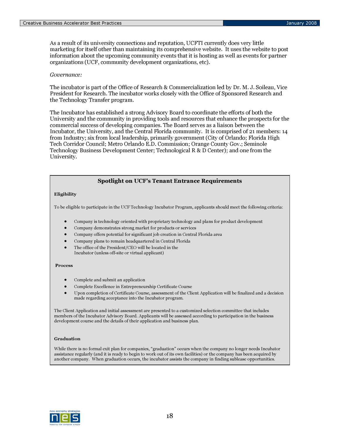As a result of its university connections and reputation, UCFTI currently does very little marketing for itself other than maintaining its comprehensive website. It uses the website to post information about the upcoming community events that it is hosting as well as events for partner organizations (UCF, community development organizations, etc).

### Governance:

The incubator is part of the Office of Research & Commercialization led by Dr. M. J. Soileau, Vice President for Research. The incubator works closely with the Office of Sponsored Research and the Technology Transfer program.

The Incubator has established a strong Advisory Board to coordinate the efforts of both the University and the community in providing tools and resources that enhance the prospects for the commercial success of developing companies. The Board serves as a liaison between the Incubator, the University, and the Central Florida community. It is comprised of 21 members: 14 from Industry; six from local leadership, primarily government (City of Orlando; Florida High Tech Corridor Council; Metro Orlando E.D. Commission; Orange County Gov.; Seminole Technology Business Development Center; Technological R & D Center); and one from the University.

# Spotlight on UCF's Tenant Entrance Requirements

### Eligibility

To be eligible to participate in the UCF Technology Incubator Program, applicants should meet the following criteria:

- Company is technology oriented with proprietary technology and plans for product development
- Company demonstrates strong market for products or services
- Company offers potential for significant job creation in Central Florida area
- Company plans to remain headquartered in Central Florida
- The office of the President/CEO will be located in the Incubator (unless off-site or virtual applicant)

### Process

- Complete and submit an application
- Complete Excellence in Entrepreneurship Certificate Course
- Upon completion of Certificate Course, assessment of the Client Application will be finalized and a decision made regarding acceptance into the Incubator program.

The Client Application and initial assessment are presented to a customized selection committee that includes members of the Incubator Advisory Board. Applicants will be assessed according to participation in the business development course and the details of their application and business plan.

### Graduation

While there is no formal exit plan for companies, "graduation" occurs when the company no longer needs Incubator assistance regularly (and it is ready to begin to work out of its own facilities) or the company has been acquired by another company. When graduation occurs, the incubator assists the company in finding sublease opportunities.

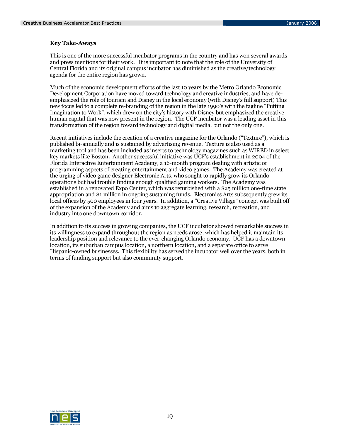# Key Take-Aways

This is one of the more successful incubator programs in the country and has won several awards and press mentions for their work. It is important to note that the role of the University of Central Florida and its original campus incubator has diminished as the creative/technology agenda for the entire region has grown.

Much of the economic development efforts of the last 10 years by the Metro Orlando Economic Development Corporation have moved toward technology and creative industries, and have deemphasized the role of tourism and Disney in the local economy (with Disney's full support) This new focus led to a complete re-branding of the region in the late 1990's with the tagline "Putting Imagination to Work", which drew on the city's history with Disney but emphasized the creative human capital that was now present in the region. The UCF incubator was a leading asset in this transformation of the region toward technology and digital media, but not the only one.

Recent initiatives include the creation of a creative magazine for the Orlando ("Texture"), which is published bi-annually and is sustained by advertising revenue. Texture is also used as a marketing tool and has been included as inserts to technology magazines such as WIRED in select key markets like Boston. Another successful initiative was UCF's establishment in 2004 of the Florida Interactive Entertainment Academy, a 16-month program dealing with artistic or programming aspects of creating entertainment and video games. The Academy was created at the urging of video game designer Electronic Arts, who sought to rapidly grow its Orlando operations but had trouble finding enough qualified gaming workers. The Academy was established in a renovated Expo Center, which was refurbished with a \$25 million one-time state appropriation and \$1 million in ongoing sustaining funds. Electronics Arts subsequently grew its local offices by 500 employees in four years. In addition, a "Creative Village" concept was built off of the expansion of the Academy and aims to aggregate learning, research, recreation, and industry into one downtown corridor.

In addition to its success in growing companies, the UCF incubator showed remarkable success in its willingness to expand throughout the region as needs arose, which has helped it maintain its leadership position and relevance to the ever-changing Orlando economy. UCF has a downtown location, its suburban campus location, a northern location, and a separate office to serve Hispanic-owned businesses. This flexibility has served the incubator well over the years, both in terms of funding support but also community support.

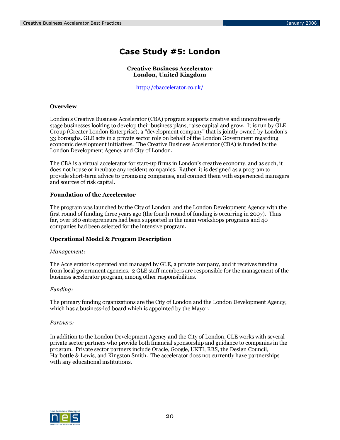# Case Study #5: London

# Creative Business Accelerator London, United Kingdom

http://cbaccelerator.co.uk/

# **Overview**

London's Creative Business Accelerator (CBA) program supports creative and innovative early stage businesses looking to develop their business plans, raise capital and grow. It is run by GLE Group (Greater London Enterprise), a "development company" that is jointly owned by London's 33 boroughs. GLE acts in a private sector role on behalf of the London Government regarding economic development initiatives. The Creative Business Accelerator (CBA) is funded by the London Development Agency and City of London.

The CBA is a virtual accelerator for start-up firms in London's creative economy, and as such, it does not house or incubate any resident companies. Rather, it is designed as a program to provide short-term advice to promising companies, and connect them with experienced managers and sources of risk capital.

### Foundation of the Accelerator

The program was launched by the City of London and the London Development Agency with the first round of funding three years ago (the fourth round of funding is occurring in 2007). Thus far, over 180 entrepreneurs had been supported in the main workshops programs and 40 companies had been selected for the intensive program.

### Operational Model & Program Description

### Management:

The Accelerator is operated and managed by GLE, a private company, and it receives funding from local government agencies. 2 GLE staff members are responsible for the management of the business accelerator program, among other responsibilities.

### Funding:

The primary funding organizations are the City of London and the London Development Agency, which has a business-led board which is appointed by the Mayor.

### Partners:

In addition to the London Development Agency and the City of London, GLE works with several private sector partners who provide both financial sponsorship and guidance to companies in the program. Private sector partners include Oracle, Google, UKTI, RBS, the Design Council, Harbottle & Lewis, and Kingston Smith. The accelerator does not currently have partnerships with any educational institutions.

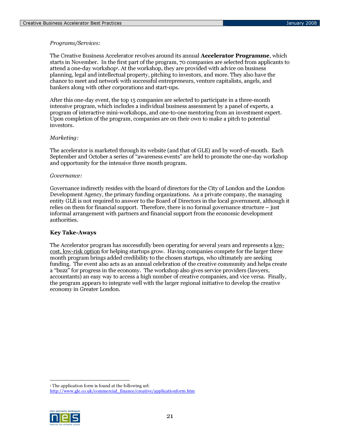## Programs/Services:

The Creative Business Accelerator revolves around its annual **Accelerator Programme**, which starts in November. In the first part of the program, 70 companies are selected from applicants to attend a one-day workshop<sup>1</sup>. At the workshop, they are provided with advice on business planning, legal and intellectual property, pitching to investors, and more. They also have the chance to meet and network with successful entrepreneurs, venture capitalists, angels, and bankers along with other corporations and start-ups.

After this one-day event, the top 15 companies are selected to participate in a three-month intensive program, which includes a individual business assessment by a panel of experts, a program of interactive mini-workshops, and one-to-one mentoring from an investment expert. Upon completion of the program, companies are on their own to make a pitch to potential investors.

### Marketing:

The accelerator is marketed through its website (and that of GLE) and by word-of-mouth. Each September and October a series of "awareness events" are held to promote the one-day workshop and opportunity for the intensive three month program.

### Governance:

Governance indirectly resides with the board of directors for the City of London and the London Development Agency, the primary funding organizations. As a private company, the managing entity GLE is not required to answer to the Board of Directors in the local government, although it relies on them for financial support. Therefore, there is no formal governance structure – just informal arrangement with partners and financial support from the economic development authorities.

### Key Take-Aways

The Accelerator program has successfully been operating for several years and represents a lowcost, low-risk option for helping startups grow. Having companies compete for the larger three month program brings added credibility to the chosen startups, who ultimately are seeking funding. The event also acts as an annual celebration of the creative community and helps create a "buzz" for progress in the economy. The workshop also gives service providers (lawyers, accountants) an easy way to access a high number of creative companies, and vice versa. Finally, the program appears to integrate well with the larger regional initiative to develop the creative economy in Greater London.

-1 The application form is found at the following url:

http://www.gle.co.uk/commercial\_finance/creative/applicationform.htm

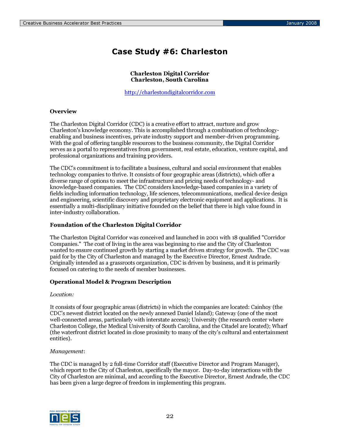# Case Study #6: Charleston

### Charleston Digital Corridor Charleston, South Carolina

http://charlestondigitalcorridor.com

# **Overview**

The Charleston Digital Corridor (CDC) is a creative effort to attract, nurture and grow Charleston's knowledge economy. This is accomplished through a combination of technologyenabling and business incentives, private industry support and member-driven programming. With the goal of offering tangible resources to the business community, the Digital Corridor serves as a portal to representatives from government, real estate, education, venture capital, and professional organizations and training providers.

The CDC's commitment is to facilitate a business, cultural and social environment that enables technology companies to thrive. It consists of four geographic areas (districts), which offer a diverse range of options to meet the infrastructure and pricing needs of technology- and knowledge-based companies. The CDC considers knowledge-based companies in a variety of fields including information technology, life sciences, telecommunications, medical device design and engineering, scientific discovery and proprietary electronic equipment and applications. It is essentially a multi-disciplinary initiative founded on the belief that there is high value found in inter-industry collaboration.

### Foundation of the Charleston Digital Corridor

The Charleston Digital Corridor was conceived and launched in 2001 with 18 qualified "Corridor Companies." The cost of living in the area was beginning to rise and the City of Charleston wanted to ensure continued growth by starting a market driven strategy for growth. The CDC was paid for by the City of Charleston and managed by the Executive Director, Ernest Andrade. Originally intended as a grassroots organization, CDC is driven by business, and it is primarily focused on catering to the needs of member businesses.

### Operational Model & Program Description

### Location:

It consists of four geographic areas (districts) in which the companies are located: Cainhoy (the CDC's newest district located on the newly annexed Daniel Island); Gateway (one of the most well-connected areas, particularly with interstate access); University (the research center where Charleston College, the Medical University of South Carolina, and the Citadel are located); Wharf (the waterfront district located in close proximity to many of the city's cultural and entertainment entities).

### Management:

The CDC is managed by 2 full-time Corridor staff (Executive Director and Program Manager), which report to the City of Charleston, specifically the mayor. Day-to-day interactions with the City of Charleston are minimal, and according to the Executive Director, Ernest Andrade, the CDC has been given a large degree of freedom in implementing this program.

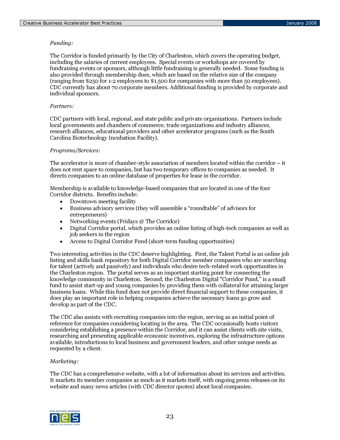### Funding:

The Corridor is funded primarily by the City of Charleston, which covers the operating budget, including the salaries of current employees. Special events or workshops are covered by fundraising events or sponsors, although little fundraising is generally needed. Some funding is also provided through membership dues, which are based on the relative size of the company (ranging from \$250 for 1-2 employees to \$1,500 for companies with more than 50 employees). CDC currently has about 70 corporate members. Additional funding is provided by corporate and individual sponsors.

### Partners:

CDC partners with local, regional, and state public and private organizations. Partners include local governments and chambers of commerce, trade organizations and industry alliances, research alliances, educational providers and other accelerator programs (such as the South Carolina Biotechnology Incubation Facility).

### Programs/Services:

The accelerator is more of chamber-style association of members located within the corridor – it does not rent space to companies, but has two temporary offices to companies as needed. It directs companies to an online database of properties for lease in the corridor.

Membership is available to knowledge-based companies that are located in one of the four Corridor districts. Benefits include:

- Downtown meeting facility
- Business advisory services (they will assemble a "roundtable" of advisors for entrepreneurs)
- Networking events (Fridays @ The Corridor)
- Digital Corridor portal, which provides an online listing of high-tech companies as well as job seekers in the region
- Access to Digital Corridor Fund (short-term funding opportunities)

Two interesting activities in the CDC deserve highlighting. First, the Talent Portal is an online job listing and skills bank repository for both Digital Corridor member companies who are searching for talent (actively and passively) and individuals who desire tech-related work opportunities in the Charleston region. The portal serves as an important starting point for connecting the knowledge community in Charleston. Second, the Charleston Digital "Corridor Fund," is a small fund to assist start-up and young companies by providing them with collateral for attaining larger business loans. While this fund does not provide direct financial support to these companies, it does play an important role in helping companies achieve the necessary loans go grow and develop as part of the CDC.

The CDC also assists with recruiting companies into the region, serving as an initial point of reference for companies considering locating in the area. The CDC occasionally hosts visitors considering establishing a presence within the Corridor, and it can assist clients with site visits, researching and presenting applicable economic incentives, exploring the infrastructure options available, introductions to local business and government leaders, and other unique needs as requested by a client.

### Marketing:

The CDC has a comprehensive website, with a lot of information about its services and activities. It markets its member companies as much as it markets itself, with ongoing press releases on its website and many news articles (with CDC director quotes) about local companies.

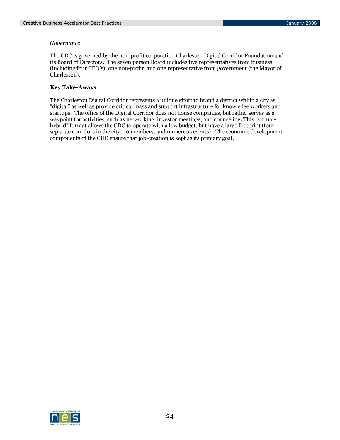### Governance:

The CDC is governed by the non-profit corporation Charleston Digital Corridor Foundation and its Board of Directors. The seven person Board includes five representatives from business (including four CEO's), one non-profit, and one representative from government (the Mayor of Charleston).

# Key Take-Aways

The Charleston Digital Corridor represents a unique effort to brand a district within a city as "digital" as well as provide critical mass and support infrastructure for knowledge workers and startups. The office of the Digital Corridor does not house companies, but rather serves as a waypoint for activities, such as networking, investor meetings, and counseling. This "virtualhybrid" format allows the CDC to operate with a low budget, but have a large footprint (four separate corridors in the city, 70 members, and numerous events). The economic development components of the CDC ensure that job-creation is kept as its primary goal.

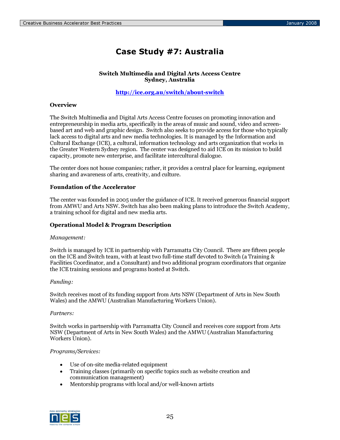# Case Study #7: Australia

## Switch Multimedia and Digital Arts Access Centre Sydney, Australia

# http://ice.org.au/switch/about-switch

# **Overview**

The Switch Multimedia and Digital Arts Access Centre focuses on promoting innovation and entrepreneurship in media arts, specifically in the areas of music and sound, video and screenbased art and web and graphic design. Switch also seeks to provide access for those who typically lack access to digital arts and new media technologies. It is managed by the Information and Cultural Exchange (ICE), a cultural, information technology and arts organization that works in the Greater Western Sydney region. The center was designed to aid ICE on its mission to build capacity, promote new enterprise, and facilitate intercultural dialogue.

The center does not house companies; rather, it provides a central place for learning, equipment sharing and awareness of arts, creativity, and culture.

### Foundation of the Accelerator

The center was founded in 2005 under the guidance of ICE. It received generous financial support from AMWU and Arts NSW. Switch has also been making plans to introduce the Switch Academy, a training school for digital and new media arts.

### Operational Model & Program Description

### Management:

Switch is managed by ICE in partnership with Parramatta City Council. There are fifteen people on the ICE and Switch team, with at least two full-time staff devoted to Switch (a Training & Facilities Coordinator, and a Consultant) and two additional program coordinators that organize the ICE training sessions and programs hosted at Switch.

### Funding:

Switch receives most of its funding support from Arts NSW (Department of Arts in New South Wales) and the AMWU (Australian Manufacturing Workers Union).

### Partners:

Switch works in partnership with Parramatta City Council and receives core support from Arts NSW (Department of Arts in New South Wales) and the AMWU (Australian Manufacturing Workers Union).

### Programs/Services:

- Use of on-site media-related equipment
- Training classes (primarily on specific topics such as website creation and communication management)
- Mentorship programs with local and/or well-known artists

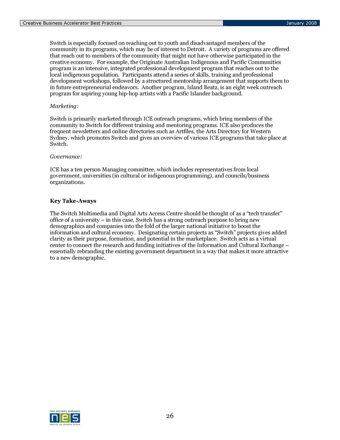Switch is especially focused on reaching out to youth and disadvantaged members of the community in its programs, which may be of interest to Detroit. A variety of programs are offered that reach out to members of the community that might not have otherwise participated in the creative economy. For example, the Originate Australian Indigenous and Pacific Communities program is an intensive, integrated professional development program that reaches out to the local indigenous population. Participants attend a series of skills, training and professional development workshops, followed by a structured mentorship arrangement that supports them to in future entrepreneurial endeavors. Another program, Island Beatz, is an eight week outreach program for aspiring young hip-hop artists with a Pacific Islander background.

### Marketing:

Switch is primarily marketed through ICE outreach programs, which bring members of the community to Switch for different training and mentoring programs. ICE also produces the frequent newsletters and online directories such as Artfiles, the Arts Directory for Western Sydney, which promotes Switch and gives an overview of various ICE programs that take place at Switch.

### Governance:

ICE has a ten person Managing committee, which includes representatives from local government, universities (in cultural or indigenous programming), and councils/business organizations.

# Key Take-Aways

The Switch Multimedia and Digital Arts Access Centre should be thought of as a "tech transfer" office of a university – in this case, Switch has a strong outreach purpose to bring new demographics and companies into the fold of the larger national initiative to boost the information and cultural economy. Designating certain projects as "Switch" projects gives added clarity as their purpose, formation, and potential in the marketplace. Switch acts as a virtual center to connect the research and funding initiatives of the Information and Cultural Exchange – essentially rebranding the existing government department in a way that makes it more attractive to a new demographic.